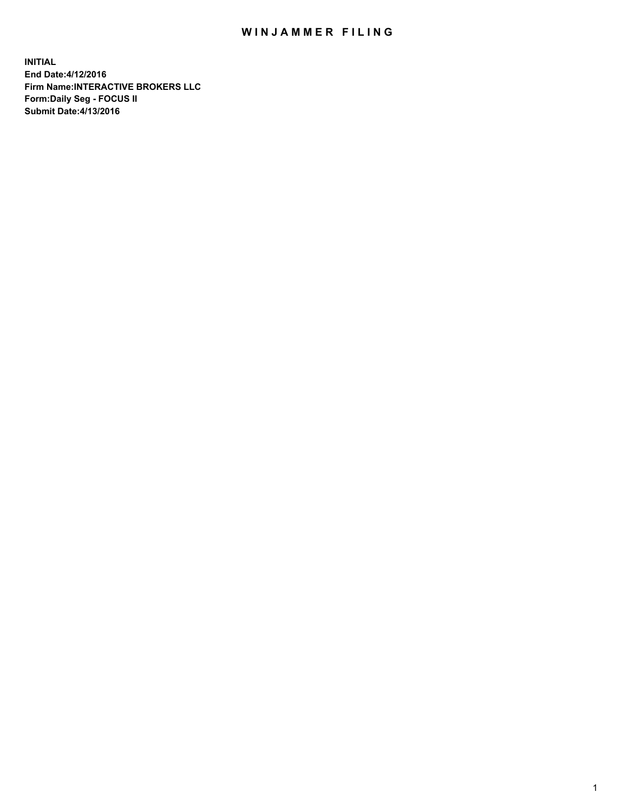## WIN JAMMER FILING

**INITIAL End Date:4/12/2016 Firm Name:INTERACTIVE BROKERS LLC Form:Daily Seg - FOCUS II Submit Date:4/13/2016**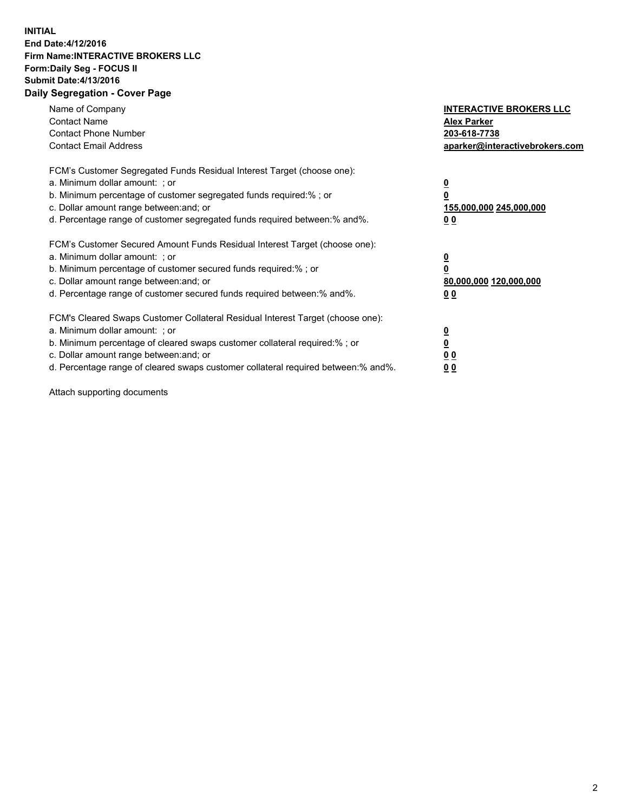## **INITIAL End Date:4/12/2016 Firm Name:INTERACTIVE BROKERS LLC Form:Daily Seg - FOCUS II Submit Date:4/13/2016 Daily Segregation - Cover Page**

| Name of Company<br><b>Contact Name</b><br><b>Contact Phone Number</b><br><b>Contact Email Address</b>                                                                                                                                                                                                                         | <b>INTERACTIVE BROKERS LLC</b><br><b>Alex Parker</b><br>203-618-7738<br>aparker@interactivebrokers.com |
|-------------------------------------------------------------------------------------------------------------------------------------------------------------------------------------------------------------------------------------------------------------------------------------------------------------------------------|--------------------------------------------------------------------------------------------------------|
| FCM's Customer Segregated Funds Residual Interest Target (choose one):<br>a. Minimum dollar amount: ; or<br>b. Minimum percentage of customer segregated funds required:% ; or<br>c. Dollar amount range between: and; or<br>d. Percentage range of customer segregated funds required between:% and%.                        | <u>0</u><br>155,000,000 245,000,000<br>0 <sub>0</sub>                                                  |
| FCM's Customer Secured Amount Funds Residual Interest Target (choose one):<br>a. Minimum dollar amount: ; or<br>b. Minimum percentage of customer secured funds required:%; or<br>c. Dollar amount range between: and; or<br>d. Percentage range of customer secured funds required between: % and %.                         | <u>0</u><br>80,000,000 120,000,000<br><u>00</u>                                                        |
| FCM's Cleared Swaps Customer Collateral Residual Interest Target (choose one):<br>a. Minimum dollar amount: ; or<br>b. Minimum percentage of cleared swaps customer collateral required:%; or<br>c. Dollar amount range between: and; or<br>d. Percentage range of cleared swaps customer collateral required between:% and%. | <u>0</u><br>0 <sub>0</sub><br>0 <sub>0</sub>                                                           |

Attach supporting documents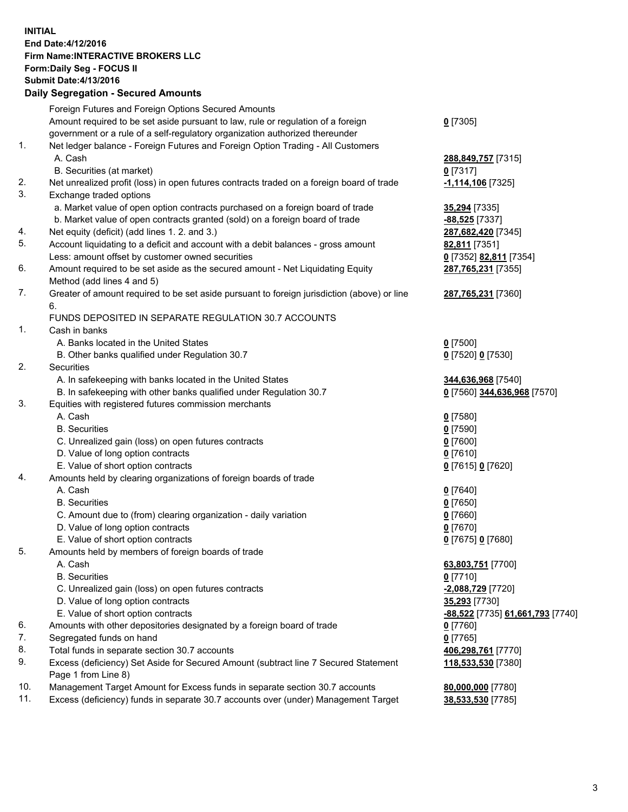## **INITIAL End Date:4/12/2016 Firm Name:INTERACTIVE BROKERS LLC Form:Daily Seg - FOCUS II Submit Date:4/13/2016 Daily Segregation - Secured Amounts**

|     | Dany Ocgregation - Occarea Annoants                                                         |                                  |
|-----|---------------------------------------------------------------------------------------------|----------------------------------|
|     | Foreign Futures and Foreign Options Secured Amounts                                         |                                  |
|     | Amount required to be set aside pursuant to law, rule or regulation of a foreign            | $0$ [7305]                       |
|     | government or a rule of a self-regulatory organization authorized thereunder                |                                  |
| 1.  | Net ledger balance - Foreign Futures and Foreign Option Trading - All Customers             |                                  |
|     | A. Cash                                                                                     | 288,849,757 [7315]               |
|     | B. Securities (at market)                                                                   | 0 [7317]                         |
| 2.  | Net unrealized profit (loss) in open futures contracts traded on a foreign board of trade   | $-1,114,106$ [7325]              |
| 3.  | Exchange traded options                                                                     |                                  |
|     | a. Market value of open option contracts purchased on a foreign board of trade              | 35,294 [7335]                    |
|     | b. Market value of open contracts granted (sold) on a foreign board of trade                | -88,525 [7337]                   |
| 4.  | Net equity (deficit) (add lines 1. 2. and 3.)                                               | 287,682,420 [7345]               |
| 5.  | Account liquidating to a deficit and account with a debit balances - gross amount           | 82,811 [7351]                    |
|     | Less: amount offset by customer owned securities                                            | 0 [7352] 82,811 [7354]           |
| 6.  | Amount required to be set aside as the secured amount - Net Liquidating Equity              | 287,765,231 [7355]               |
|     | Method (add lines 4 and 5)                                                                  |                                  |
| 7.  | Greater of amount required to be set aside pursuant to foreign jurisdiction (above) or line | 287,765,231 [7360]               |
|     | 6.                                                                                          |                                  |
|     | FUNDS DEPOSITED IN SEPARATE REGULATION 30.7 ACCOUNTS                                        |                                  |
| 1.  | Cash in banks                                                                               |                                  |
|     | A. Banks located in the United States                                                       | $0$ [7500]                       |
|     | B. Other banks qualified under Regulation 30.7                                              | 0 [7520] 0 [7530]                |
| 2.  | Securities                                                                                  |                                  |
|     | A. In safekeeping with banks located in the United States                                   | 344,636,968 [7540]               |
|     | B. In safekeeping with other banks qualified under Regulation 30.7                          | 0 [7560] 344,636,968 [7570]      |
| 3.  | Equities with registered futures commission merchants                                       |                                  |
|     | A. Cash                                                                                     | $0$ [7580]                       |
|     | <b>B.</b> Securities                                                                        | $0$ [7590]                       |
|     | C. Unrealized gain (loss) on open futures contracts                                         | $0$ [7600]                       |
|     | D. Value of long option contracts                                                           | $0$ [7610]                       |
|     | E. Value of short option contracts                                                          | 0 [7615] 0 [7620]                |
| 4.  | Amounts held by clearing organizations of foreign boards of trade                           |                                  |
|     | A. Cash                                                                                     | $0$ [7640]                       |
|     | <b>B.</b> Securities                                                                        | $0$ [7650]                       |
|     | C. Amount due to (from) clearing organization - daily variation                             | $0$ [7660]                       |
|     | D. Value of long option contracts                                                           | $0$ [7670]                       |
|     | E. Value of short option contracts                                                          | 0 [7675] 0 [7680]                |
| 5.  | Amounts held by members of foreign boards of trade                                          |                                  |
|     | A. Cash                                                                                     | 63,803,751 [7700]                |
|     | <b>B.</b> Securities                                                                        | $0$ [7710]                       |
|     | C. Unrealized gain (loss) on open futures contracts                                         | <u>-2,088,729</u> [7720]         |
|     | D. Value of long option contracts                                                           | 35,293 [7730]                    |
|     | E. Value of short option contracts                                                          | -88,522 [7735] 61,661,793 [7740] |
| 6.  | Amounts with other depositories designated by a foreign board of trade                      | $0$ [7760]                       |
| 7.  | Segregated funds on hand                                                                    | $0$ [7765]                       |
| 8.  | Total funds in separate section 30.7 accounts                                               | 406,298,761 [7770]               |
| 9.  | Excess (deficiency) Set Aside for Secured Amount (subtract line 7 Secured Statement         | 118,533,530 [7380]               |
|     | Page 1 from Line 8)                                                                         |                                  |
| 10. | Management Target Amount for Excess funds in separate section 30.7 accounts                 | 80,000,000 [7780]                |
| 11. | Excess (deficiency) funds in separate 30.7 accounts over (under) Management Target          | 38,533,530 [7785]                |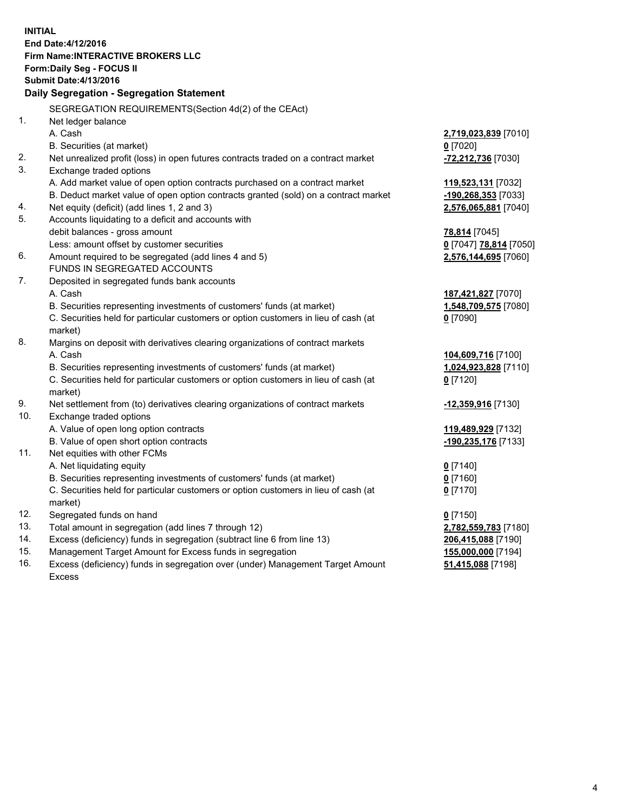**INITIAL End Date:4/12/2016 Firm Name:INTERACTIVE BROKERS LLC Form:Daily Seg - FOCUS II Submit Date:4/13/2016 Daily Segregation - Segregation Statement** SEGREGATION REQUIREMENTS(Section 4d(2) of the CEAct) 1. Net ledger balance A. Cash **2,719,023,839** [7010] B. Securities (at market) **0** [7020] 2. Net unrealized profit (loss) in open futures contracts traded on a contract market **-72,212,736** [7030] 3. Exchange traded options A. Add market value of open option contracts purchased on a contract market **119,523,131** [7032] B. Deduct market value of open option contracts granted (sold) on a contract market **-190,268,353** [7033] 4. Net equity (deficit) (add lines 1, 2 and 3) **2,576,065,881** [7040] 5. Accounts liquidating to a deficit and accounts with debit balances - gross amount **78,814** [7045] Less: amount offset by customer securities **0** [7047] **78,814** [7050] 6. Amount required to be segregated (add lines 4 and 5) **2,576,144,695** [7060] FUNDS IN SEGREGATED ACCOUNTS 7. Deposited in segregated funds bank accounts A. Cash **187,421,827** [7070] B. Securities representing investments of customers' funds (at market) **1,548,709,575** [7080] C. Securities held for particular customers or option customers in lieu of cash (at market) **0** [7090] 8. Margins on deposit with derivatives clearing organizations of contract markets A. Cash **104,609,716** [7100] B. Securities representing investments of customers' funds (at market) **1,024,923,828** [7110] C. Securities held for particular customers or option customers in lieu of cash (at market) **0** [7120] 9. Net settlement from (to) derivatives clearing organizations of contract markets **-12,359,916** [7130] 10. Exchange traded options A. Value of open long option contracts **119,489,929** [7132] B. Value of open short option contracts **-190,235,176** [7133] 11. Net equities with other FCMs A. Net liquidating equity **0** [7140] B. Securities representing investments of customers' funds (at market) **0** [7160] C. Securities held for particular customers or option customers in lieu of cash (at market) **0** [7170] 12. Segregated funds on hand **0** [7150] 13. Total amount in segregation (add lines 7 through 12) **2,782,559,783** [7180] 14. Excess (deficiency) funds in segregation (subtract line 6 from line 13) **206,415,088** [7190] 15. Management Target Amount for Excess funds in segregation **155,000,000** [7194] **51,415,088** [7198]

16. Excess (deficiency) funds in segregation over (under) Management Target Amount Excess